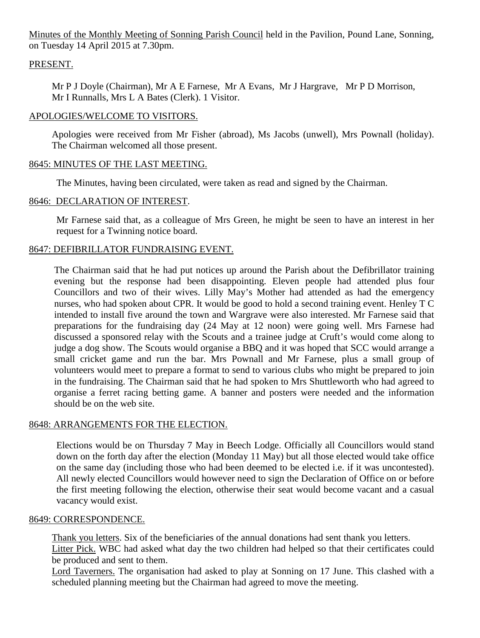Minutes of the Monthly Meeting of Sonning Parish Council held in the Pavilion, Pound Lane, Sonning, on Tuesday 14 April 2015 at 7.30pm.

## PRESENT.

Mr P J Doyle (Chairman), Mr A E Farnese, Mr A Evans, Mr J Hargrave, Mr P D Morrison, Mr I Runnalls, Mrs L A Bates (Clerk). 1 Visitor.

## APOLOGIES/WELCOME TO VISITORS.

Apologies were received from Mr Fisher (abroad), Ms Jacobs (unwell), Mrs Pownall (holiday). The Chairman welcomed all those present.

## 8645: MINUTES OF THE LAST MEETING.

The Minutes, having been circulated, were taken as read and signed by the Chairman.

## 8646: DECLARATION OF INTEREST.

Mr Farnese said that, as a colleague of Mrs Green, he might be seen to have an interest in her request for a Twinning notice board.

## 8647: DEFIBRILLATOR FUNDRAISING EVENT.

The Chairman said that he had put notices up around the Parish about the Defibrillator training evening but the response had been disappointing. Eleven people had attended plus four Councillors and two of their wives. Lilly May's Mother had attended as had the emergency nurses, who had spoken about CPR. It would be good to hold a second training event. Henley T C intended to install five around the town and Wargrave were also interested. Mr Farnese said that preparations for the fundraising day (24 May at 12 noon) were going well. Mrs Farnese had discussed a sponsored relay with the Scouts and a trainee judge at Cruft's would come along to judge a dog show. The Scouts would organise a BBQ and it was hoped that SCC would arrange a small cricket game and run the bar. Mrs Pownall and Mr Farnese, plus a small group of volunteers would meet to prepare a format to send to various clubs who might be prepared to join in the fundraising. The Chairman said that he had spoken to Mrs Shuttleworth who had agreed to organise a ferret racing betting game. A banner and posters were needed and the information should be on the web site.

### 8648: ARRANGEMENTS FOR THE ELECTION.

Elections would be on Thursday 7 May in Beech Lodge. Officially all Councillors would stand down on the forth day after the election (Monday 11 May) but all those elected would take office on the same day (including those who had been deemed to be elected i.e. if it was uncontested). All newly elected Councillors would however need to sign the Declaration of Office on or before the first meeting following the election, otherwise their seat would become vacant and a casual vacancy would exist.

### 8649: CORRESPONDENCE.

Thank you letters. Six of the beneficiaries of the annual donations had sent thank you letters. Litter Pick. WBC had asked what day the two children had helped so that their certificates could be produced and sent to them.

Lord Taverners. The organisation had asked to play at Sonning on 17 June. This clashed with a scheduled planning meeting but the Chairman had agreed to move the meeting.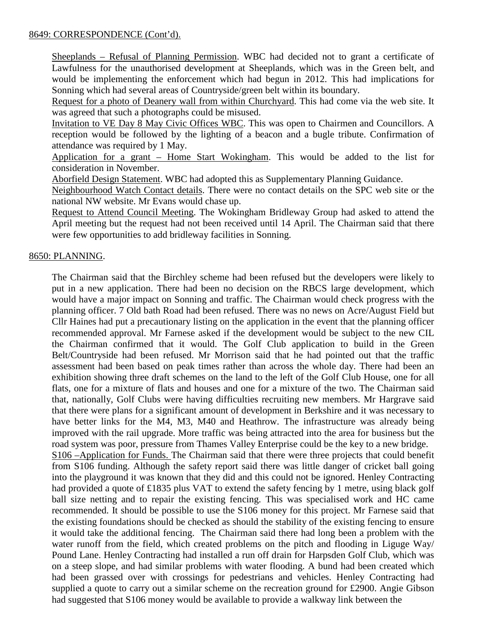### 8649: CORRESPONDENCE (Cont'd).

Sheeplands – Refusal of Planning Permission. WBC had decided not to grant a certificate of Lawfulness for the unauthorised development at Sheeplands, which was in the Green belt, and would be implementing the enforcement which had begun in 2012. This had implications for Sonning which had several areas of Countryside/green belt within its boundary.

Request for a photo of Deanery wall from within Churchyard. This had come via the web site. It was agreed that such a photographs could be misused.

Invitation to VE Day 8 May Civic Offices WBC. This was open to Chairmen and Councillors. A reception would be followed by the lighting of a beacon and a bugle tribute. Confirmation of attendance was required by 1 May.

Application for a grant – Home Start Wokingham. This would be added to the list for consideration in November.

Aborfield Design Statement. WBC had adopted this as Supplementary Planning Guidance.

Neighbourhood Watch Contact details. There were no contact details on the SPC web site or the national NW website. Mr Evans would chase up.

Request to Attend Council Meeting. The Wokingham Bridleway Group had asked to attend the April meeting but the request had not been received until 14 April. The Chairman said that there were few opportunities to add bridleway facilities in Sonning.

## 8650: PLANNING.

The Chairman said that the Birchley scheme had been refused but the developers were likely to put in a new application. There had been no decision on the RBCS large development, which would have a major impact on Sonning and traffic. The Chairman would check progress with the planning officer. 7 Old bath Road had been refused. There was no news on Acre/August Field but Cllr Haines had put a precautionary listing on the application in the event that the planning officer recommended approval. Mr Farnese asked if the development would be subject to the new CIL the Chairman confirmed that it would. The Golf Club application to build in the Green Belt/Countryside had been refused. Mr Morrison said that he had pointed out that the traffic assessment had been based on peak times rather than across the whole day. There had been an exhibition showing three draft schemes on the land to the left of the Golf Club House, one for all flats, one for a mixture of flats and houses and one for a mixture of the two. The Chairman said that, nationally, Golf Clubs were having difficulties recruiting new members. Mr Hargrave said that there were plans for a significant amount of development in Berkshire and it was necessary to have better links for the M4, M3, M40 and Heathrow. The infrastructure was already being improved with the rail upgrade. More traffic was being attracted into the area for business but the road system was poor, pressure from Thames Valley Enterprise could be the key to a new bridge. S106 –Application for Funds. The Chairman said that there were three projects that could benefit from S106 funding. Although the safety report said there was little danger of cricket ball going into the playground it was known that they did and this could not be ignored. Henley Contracting had provided a quote of £1835 plus VAT to extend the safety fencing by 1 metre, using black golf ball size netting and to repair the existing fencing. This was specialised work and HC came recommended. It should be possible to use the S106 money for this project. Mr Farnese said that the existing foundations should be checked as should the stability of the existing fencing to ensure it would take the additional fencing. The Chairman said there had long been a problem with the water runoff from the field, which created problems on the pitch and flooding in Liguge Way/ Pound Lane. Henley Contracting had installed a run off drain for Harpsden Golf Club, which was on a steep slope, and had similar problems with water flooding. A bund had been created which had been grassed over with crossings for pedestrians and vehicles. Henley Contracting had supplied a quote to carry out a similar scheme on the recreation ground for £2900. Angie Gibson had suggested that S106 money would be available to provide a walkway link between the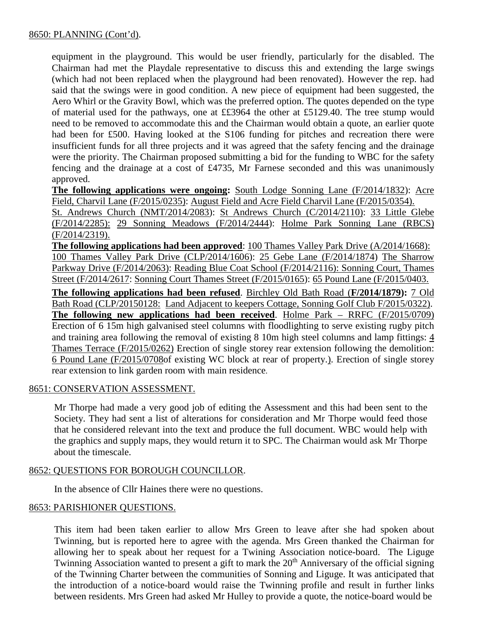equipment in the playground. This would be user friendly, particularly for the disabled. The Chairman had met the Playdale representative to discuss this and extending the large swings (which had not been replaced when the playground had been renovated). However the rep. had said that the swings were in good condition. A new piece of equipment had been suggested, the Aero Whirl or the Gravity Bowl, which was the preferred option. The quotes depended on the type of material used for the pathways, one at ££3964 the other at £5129.40. The tree stump would need to be removed to accommodate this and the Chairman would obtain a quote, an earlier quote had been for £500. Having looked at the S106 funding for pitches and recreation there were insufficient funds for all three projects and it was agreed that the safety fencing and the drainage were the priority. The Chairman proposed submitting a bid for the funding to WBC for the safety fencing and the drainage at a cost of £4735, Mr Farnese seconded and this was unanimously approved.

**The following applications were ongoing:** South Lodge Sonning Lane (F/2014/1832): Acre Field, Charvil Lane (F/2015/0235): August Field and Acre Field Charvil Lane (F/2015/0354).

St. Andrews Church (NMT/2014/2083): St Andrews Church (C/2014/2110): 33 Little Glebe (F/2014/2285): 29 Sonning Meadows (F/2014/2444): Holme Park Sonning Lane (RBCS) (F/2014/2319).

**The following applications had been approved**: 100 Thames Valley Park Drive (A/2014/1668): 100 Thames Valley Park Drive (CLP/2014/1606): 25 Gebe Lane (F/2014/1874) The Sharrow Parkway Drive (F/2014/2063): Reading Blue Coat School (F/2014/2116): Sonning Court, Thames Street (F/2014/2617: Sonning Court Thames Street (F/2015/0165): 65 Pound Lane (F/2015/0403.

**The following applications had been refused**. Birchley Old Bath Road (**F/2014/1879):** 7 Old Bath Road (CLP/20150128: Land Adjacent to keepers Cottage, Sonning Golf Club F/2015/0322). **The following new applications had been received**. Holme Park – RRFC (F/2015/0709) Erection of 6 15m high galvanised steel columns with floodlighting to serve existing rugby pitch and training area following the removal of existing 8 10m high steel columns and lamp fittings: 4 Thames Terrace (F/2015/0262) Erection of single storey rear extension following the demolition: 6 Pound Lane (F/2015/0708of existing WC block at rear of property.). Erection of single storey rear extension to link garden room with main residence.

## 8651: CONSERVATION ASSESSMENT.

Mr Thorpe had made a very good job of editing the Assessment and this had been sent to the Society. They had sent a list of alterations for consideration and Mr Thorpe would feed those that he considered relevant into the text and produce the full document. WBC would help with the graphics and supply maps, they would return it to SPC. The Chairman would ask Mr Thorpe about the timescale.

## 8652: QUESTIONS FOR BOROUGH COUNCILLOR.

In the absence of Cllr Haines there were no questions.

## 8653: PARISHIONER QUESTIONS.

This item had been taken earlier to allow Mrs Green to leave after she had spoken about Twinning, but is reported here to agree with the agenda. Mrs Green thanked the Chairman for allowing her to speak about her request for a Twining Association notice-board. The Liguge Twinning Association wanted to present a gift to mark the 20<sup>th</sup> Anniversary of the official signing of the Twinning Charter between the communities of Sonning and Liguge. It was anticipated that the introduction of a notice-board would raise the Twinning profile and result in further links between residents. Mrs Green had asked Mr Hulley to provide a quote, the notice-board would be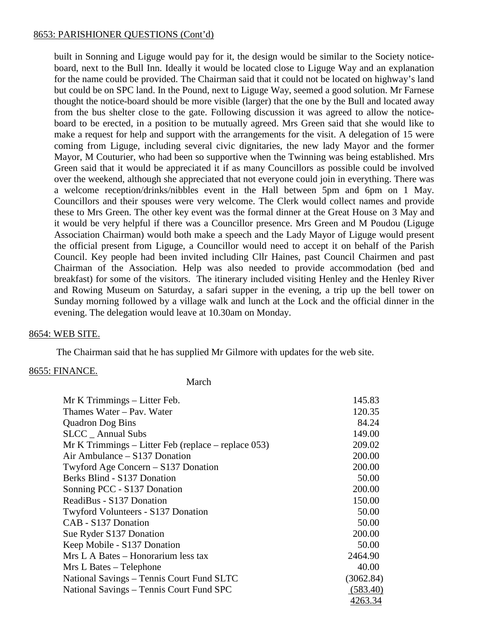### 8653: PARISHIONER QUESTIONS (Cont'd)

built in Sonning and Liguge would pay for it, the design would be similar to the Society noticeboard, next to the Bull Inn. Ideally it would be located close to Liguge Way and an explanation for the name could be provided. The Chairman said that it could not be located on highway's land but could be on SPC land. In the Pound, next to Liguge Way, seemed a good solution. Mr Farnese thought the notice-board should be more visible (larger) that the one by the Bull and located away from the bus shelter close to the gate. Following discussion it was agreed to allow the noticeboard to be erected, in a position to be mutually agreed. Mrs Green said that she would like to make a request for help and support with the arrangements for the visit. A delegation of 15 were coming from Liguge, including several civic dignitaries, the new lady Mayor and the former Mayor, M Couturier, who had been so supportive when the Twinning was being established. Mrs Green said that it would be appreciated it if as many Councillors as possible could be involved over the weekend, although she appreciated that not everyone could join in everything. There was a welcome reception/drinks/nibbles event in the Hall between 5pm and 6pm on 1 May. Councillors and their spouses were very welcome. The Clerk would collect names and provide these to Mrs Green. The other key event was the formal dinner at the Great House on 3 May and it would be very helpful if there was a Councillor presence. Mrs Green and M Poudou (Liguge Association Chairman) would both make a speech and the Lady Mayor of Liguge would present the official present from Liguge, a Councillor would need to accept it on behalf of the Parish Council. Key people had been invited including Cllr Haines, past Council Chairmen and past Chairman of the Association. Help was also needed to provide accommodation (bed and breakfast) for some of the visitors. The itinerary included visiting Henley and the Henley River and Rowing Museum on Saturday, a safari supper in the evening, a trip up the bell tower on Sunday morning followed by a village walk and lunch at the Lock and the official dinner in the evening. The delegation would leave at 10.30am on Monday.

### 8654: WEB SITE.

The Chairman said that he has supplied Mr Gilmore with updates for the web site.

### 8655: FINANCE.

March

| Mr K Trimmings - Litter Feb.                          | 145.83    |
|-------------------------------------------------------|-----------|
| Thames Water - Pav. Water                             | 120.35    |
| <b>Quadron Dog Bins</b>                               | 84.24     |
| <b>SLCC</b> Annual Subs                               | 149.00    |
| $Mr K$ Trimmings – Litter Feb (replace – replace 053) | 209.02    |
| Air Ambulance $-$ S137 Donation                       | 200.00    |
| Twyford Age Concern – S137 Donation                   | 200.00    |
| Berks Blind - S137 Donation                           | 50.00     |
| Sonning PCC - S137 Donation                           | 200.00    |
| ReadiBus - S137 Donation                              | 150.00    |
| Twyford Volunteers - S137 Donation                    | 50.00     |
| CAB - S137 Donation                                   | 50.00     |
| Sue Ryder S137 Donation                               | 200.00    |
| Keep Mobile - S137 Donation                           | 50.00     |
| Mrs L A Bates – Honorarium less tax                   | 2464.90   |
| Mrs L Bates – Telephone                               | 40.00     |
| National Savings – Tennis Court Fund SLTC             | (3062.84) |
| National Savings – Tennis Court Fund SPC              | (583.40)  |
|                                                       | 4263.34   |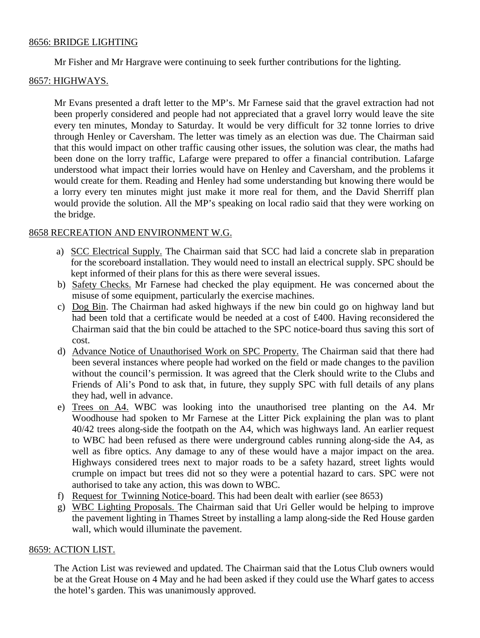### 8656: BRIDGE LIGHTING

Mr Fisher and Mr Hargrave were continuing to seek further contributions for the lighting.

## 8657: HIGHWAYS.

Mr Evans presented a draft letter to the MP's. Mr Farnese said that the gravel extraction had not been properly considered and people had not appreciated that a gravel lorry would leave the site every ten minutes, Monday to Saturday. It would be very difficult for 32 tonne lorries to drive through Henley or Caversham. The letter was timely as an election was due. The Chairman said that this would impact on other traffic causing other issues, the solution was clear, the maths had been done on the lorry traffic, Lafarge were prepared to offer a financial contribution. Lafarge understood what impact their lorries would have on Henley and Caversham, and the problems it would create for them. Reading and Henley had some understanding but knowing there would be a lorry every ten minutes might just make it more real for them, and the David Sherriff plan would provide the solution. All the MP's speaking on local radio said that they were working on the bridge.

### 8658 RECREATION AND ENVIRONMENT W.G.

- a) SCC Electrical Supply. The Chairman said that SCC had laid a concrete slab in preparation for the scoreboard installation. They would need to install an electrical supply. SPC should be kept informed of their plans for this as there were several issues.
- b) Safety Checks. Mr Farnese had checked the play equipment. He was concerned about the misuse of some equipment, particularly the exercise machines.
- c) Dog Bin. The Chairman had asked highways if the new bin could go on highway land but had been told that a certificate would be needed at a cost of £400. Having reconsidered the Chairman said that the bin could be attached to the SPC notice-board thus saving this sort of cost.
- d) Advance Notice of Unauthorised Work on SPC Property. The Chairman said that there had been several instances where people had worked on the field or made changes to the pavilion without the council's permission. It was agreed that the Clerk should write to the Clubs and Friends of Ali's Pond to ask that, in future, they supply SPC with full details of any plans they had, well in advance.
- e) Trees on A4. WBC was looking into the unauthorised tree planting on the A4. Mr Woodhouse had spoken to Mr Farnese at the Litter Pick explaining the plan was to plant 40/42 trees along-side the footpath on the A4, which was highways land. An earlier request to WBC had been refused as there were underground cables running along-side the A4, as well as fibre optics. Any damage to any of these would have a major impact on the area. Highways considered trees next to major roads to be a safety hazard, street lights would crumple on impact but trees did not so they were a potential hazard to cars. SPC were not authorised to take any action, this was down to WBC.
- f) Request for Twinning Notice-board. This had been dealt with earlier (see 8653)
- g) WBC Lighting Proposals. The Chairman said that Uri Geller would be helping to improve the pavement lighting in Thames Street by installing a lamp along-side the Red House garden wall, which would illuminate the pavement.

### 8659: ACTION LIST.

The Action List was reviewed and updated. The Chairman said that the Lotus Club owners would be at the Great House on 4 May and he had been asked if they could use the Wharf gates to access the hotel's garden. This was unanimously approved.